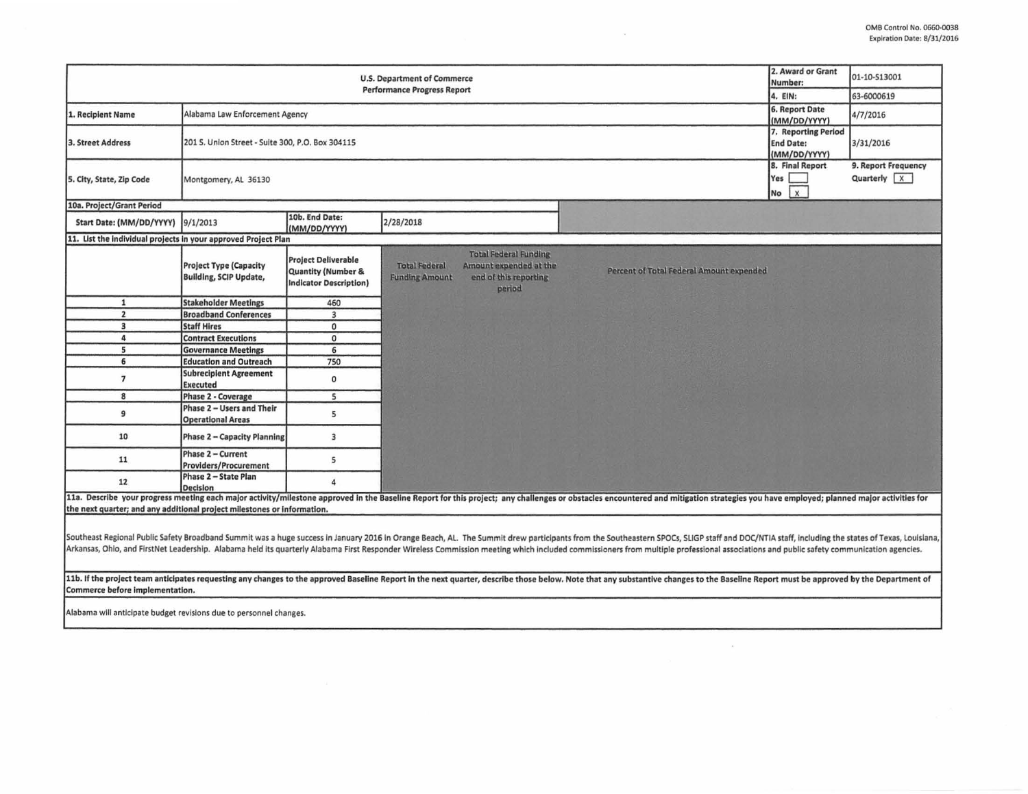| <b>U.S. Department of Commerce</b><br><b>Performance Progress Report</b>                                                                                                                                                                                                                                                                                                                                                                                                                                                                                                                                                                                                                           |                                                                |                                                                            |                                               |                                                                                           |  |                                                                                                                                                                                                                                |           | 2. Award or Grant<br>Number:<br>4. EIN:                 | 01-10-513001<br>63-6000619           |
|----------------------------------------------------------------------------------------------------------------------------------------------------------------------------------------------------------------------------------------------------------------------------------------------------------------------------------------------------------------------------------------------------------------------------------------------------------------------------------------------------------------------------------------------------------------------------------------------------------------------------------------------------------------------------------------------------|----------------------------------------------------------------|----------------------------------------------------------------------------|-----------------------------------------------|-------------------------------------------------------------------------------------------|--|--------------------------------------------------------------------------------------------------------------------------------------------------------------------------------------------------------------------------------|-----------|---------------------------------------------------------|--------------------------------------|
| Alabama Law Enforcement Agency<br>1. Recipient Name                                                                                                                                                                                                                                                                                                                                                                                                                                                                                                                                                                                                                                                |                                                                |                                                                            |                                               |                                                                                           |  |                                                                                                                                                                                                                                |           | 6. Report Date<br>(MM/DD/YYYY)                          | 4/7/2016                             |
|                                                                                                                                                                                                                                                                                                                                                                                                                                                                                                                                                                                                                                                                                                    |                                                                |                                                                            |                                               |                                                                                           |  |                                                                                                                                                                                                                                |           |                                                         |                                      |
| 3. Street Address                                                                                                                                                                                                                                                                                                                                                                                                                                                                                                                                                                                                                                                                                  | 201 S. Union Street - Suite 300, P.O. Box 304115               |                                                                            |                                               |                                                                                           |  |                                                                                                                                                                                                                                |           | 7. Reporting Period<br><b>End Date:</b><br>(MM/DD/YYYY) | 3/31/2016                            |
| 5. City, State, Zip Code                                                                                                                                                                                                                                                                                                                                                                                                                                                                                                                                                                                                                                                                           | Montgomery, AL 36130                                           |                                                                            |                                               |                                                                                           |  |                                                                                                                                                                                                                                | Yes<br>No | 8. Final Report<br>$\sqrt{x}$                           | 9. Report Frequency<br>Quarterly $X$ |
| 10a. Project/Grant Period                                                                                                                                                                                                                                                                                                                                                                                                                                                                                                                                                                                                                                                                          |                                                                |                                                                            |                                               |                                                                                           |  |                                                                                                                                                                                                                                |           |                                                         |                                      |
| Start Date: (MM/DD/YYYY)                                                                                                                                                                                                                                                                                                                                                                                                                                                                                                                                                                                                                                                                           | 9/1/2013                                                       | 10b. End Date:<br>(MM/DD/YYYY)                                             | 2/28/2018                                     |                                                                                           |  |                                                                                                                                                                                                                                |           |                                                         |                                      |
| 11. List the individual projects in your approved Project Plan                                                                                                                                                                                                                                                                                                                                                                                                                                                                                                                                                                                                                                     |                                                                |                                                                            |                                               |                                                                                           |  |                                                                                                                                                                                                                                |           |                                                         |                                      |
|                                                                                                                                                                                                                                                                                                                                                                                                                                                                                                                                                                                                                                                                                                    | <b>Project Type (Capacity</b><br><b>Building, SCIP Update,</b> | <b>Project Deliverable</b><br>Quantity (Number &<br>Indicator Description) | <b>Total Federal</b><br><b>Funding Amount</b> | <b>Total Federal Funding</b><br>Amount expended at the<br>end of this reporting<br>period |  | Percent of Total Federal Amount expended                                                                                                                                                                                       |           |                                                         |                                      |
| $\mathbf{1}$                                                                                                                                                                                                                                                                                                                                                                                                                                                                                                                                                                                                                                                                                       | <b>Stakeholder Meetings</b>                                    | 460                                                                        |                                               |                                                                                           |  |                                                                                                                                                                                                                                |           |                                                         |                                      |
| $\overline{2}$                                                                                                                                                                                                                                                                                                                                                                                                                                                                                                                                                                                                                                                                                     | <b>Broadband Conferences</b>                                   | $\overline{3}$                                                             |                                               |                                                                                           |  |                                                                                                                                                                                                                                |           |                                                         |                                      |
| $\overline{\mathbf{3}}$                                                                                                                                                                                                                                                                                                                                                                                                                                                                                                                                                                                                                                                                            | <b>Staff Hires</b>                                             | $\mathbf{0}$                                                               |                                               |                                                                                           |  |                                                                                                                                                                                                                                |           |                                                         |                                      |
| 4                                                                                                                                                                                                                                                                                                                                                                                                                                                                                                                                                                                                                                                                                                  | <b>Contract Executions</b>                                     | $\mathbf 0$                                                                |                                               |                                                                                           |  |                                                                                                                                                                                                                                |           |                                                         |                                      |
| 5                                                                                                                                                                                                                                                                                                                                                                                                                                                                                                                                                                                                                                                                                                  | <b>Governance Meetings</b>                                     | 6                                                                          |                                               |                                                                                           |  |                                                                                                                                                                                                                                |           |                                                         |                                      |
| 6                                                                                                                                                                                                                                                                                                                                                                                                                                                                                                                                                                                                                                                                                                  | <b>Education and Outreach</b>                                  | 750                                                                        |                                               |                                                                                           |  |                                                                                                                                                                                                                                |           |                                                         |                                      |
| $\overline{7}$                                                                                                                                                                                                                                                                                                                                                                                                                                                                                                                                                                                                                                                                                     | <b>Subrecipient Agreement</b><br><b>Executed</b>               | $\mathbf 0$                                                                |                                               |                                                                                           |  |                                                                                                                                                                                                                                |           |                                                         |                                      |
| 8                                                                                                                                                                                                                                                                                                                                                                                                                                                                                                                                                                                                                                                                                                  | Phase 2 - Coverage                                             | 5                                                                          |                                               |                                                                                           |  |                                                                                                                                                                                                                                |           |                                                         |                                      |
| 9                                                                                                                                                                                                                                                                                                                                                                                                                                                                                                                                                                                                                                                                                                  | Phase 2 - Users and Their<br><b>Operational Areas</b>          | 5                                                                          |                                               |                                                                                           |  |                                                                                                                                                                                                                                |           |                                                         |                                      |
| 10                                                                                                                                                                                                                                                                                                                                                                                                                                                                                                                                                                                                                                                                                                 | Phase 2 - Capacity Planning                                    | $\overline{3}$                                                             |                                               |                                                                                           |  |                                                                                                                                                                                                                                |           |                                                         |                                      |
| 11                                                                                                                                                                                                                                                                                                                                                                                                                                                                                                                                                                                                                                                                                                 | Phase 2 - Current<br><b>Providers/Procurement</b>              | 5                                                                          |                                               |                                                                                           |  |                                                                                                                                                                                                                                |           |                                                         |                                      |
| 12                                                                                                                                                                                                                                                                                                                                                                                                                                                                                                                                                                                                                                                                                                 | Phase 2 - State Plan<br><b>Decision</b>                        | $\overline{a}$                                                             |                                               |                                                                                           |  |                                                                                                                                                                                                                                |           |                                                         |                                      |
|                                                                                                                                                                                                                                                                                                                                                                                                                                                                                                                                                                                                                                                                                                    |                                                                |                                                                            |                                               |                                                                                           |  | 11a. Describe your progress meeting each major activity/milestone approved in the Baseline Report for this project; any challenges or obstacles encountered and mitigation strategies you have employed; planned major activit |           |                                                         |                                      |
| the next quarter; and any additional project milestones or information.                                                                                                                                                                                                                                                                                                                                                                                                                                                                                                                                                                                                                            |                                                                |                                                                            |                                               |                                                                                           |  |                                                                                                                                                                                                                                |           |                                                         |                                      |
| Southeast Regional Public Safety Broadband Summit was a huge success in January 2016 in Orange Beach, AL. The Summit drew participants from the Southeastern SPOCs, SLIGP staff and DOC/NTIA staff, including the states of Te<br>Arkansas, Ohio, and FirstNet Leadership. Alabama held its quarterly Alabama First Responder Wireless Commission meeting which included commissioners from multiple professional associations and public safety communication a<br>11b. If the project team anticipates requesting any changes to the approved Baseline Report in the next quarter, describe those below. Note that any substantive changes to the Baseline Report must be approved by the Depart |                                                                |                                                                            |                                               |                                                                                           |  |                                                                                                                                                                                                                                |           |                                                         |                                      |
|                                                                                                                                                                                                                                                                                                                                                                                                                                                                                                                                                                                                                                                                                                    |                                                                |                                                                            |                                               |                                                                                           |  |                                                                                                                                                                                                                                |           |                                                         |                                      |

 $\sim$   $\sim$ 

 $\sim$ 

Commerce before implementation.

Alabama will anticipate budget revisions due to personnel changes.